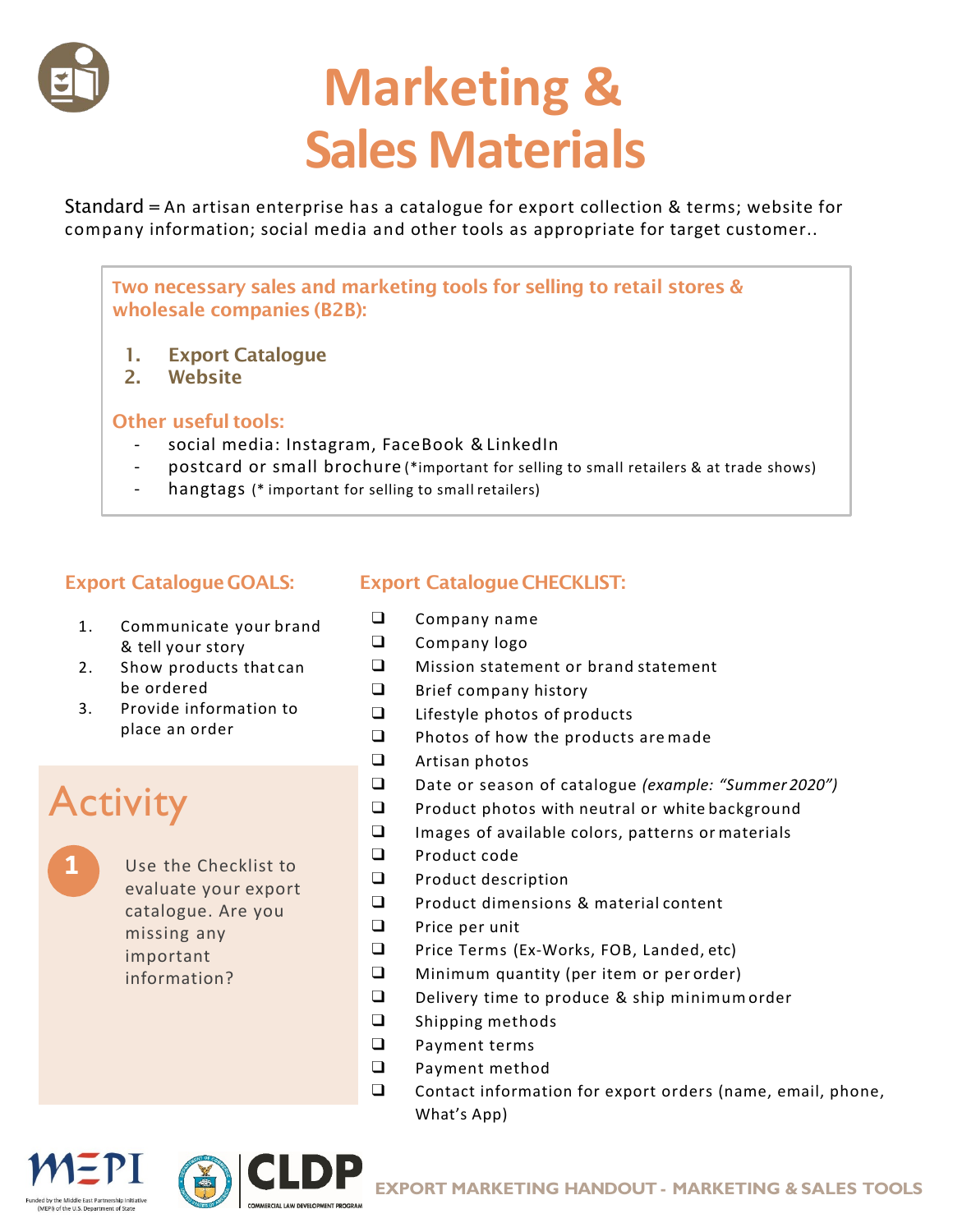

# **Marketing & Sales Materials**

Standard = An artisan enterprise has a catalogue for export collection & terms; website for company information; social media and other tools as appropriate for target customer..

**T**wo necessary sales and marketing tools for selling to retail stores & wholesale companies (B2B):

- 1. Export Catalogue
- 2. Website

#### Other useful tools:

- social media: Instagram, FaceBook & LinkedIn
- postcard or small brochure (\*important for selling to small retailers & at trade shows)
- hangtags (\* important for selling to small retailers)

#### **Export Catalogue GOALS:**

- 1. Communicate your brand & tell your story
- 2. Show products that can be ordered
- 3. Provide information to place an order

### **Activity**

**1** Use the Checklist to evaluate your export catalogue. Are you missing any important information?

#### **Export Catalogue CHECKLIST:**

- ❑ Company name
- ❑ Company logo
- ❑ Mission statement or brand statement
- ❑ Brief company history
- ❑ Lifestyle photos of products
- ❑ Photos of how the products are made
- ❑ Artisan photos
- ❑ Date or season of catalogue *(example: "Summer 2020")*
- ❑ Product photos with neutral or white background
- ❑ Images of available colors, patterns or materials
- ❑ Product code
- ❑ Product description
- ❑ Product dimensions & material content
- ❑ Price per unit
- ❑ Price Terms (Ex-Works, FOB, Landed, etc)
- ❑ Minimum quantity (per item or per order)
- ❑ Delivery time to produce & ship minimum order
- ❑ Shipping methods
- ❑ Payment terms
- ❑ Payment method
- ❑ Contact information for export orders (name, email, phone, What's App)

MEPI) of the U.S. Department of Stat